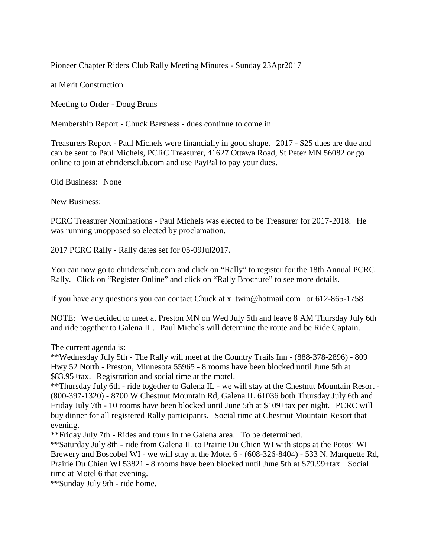Pioneer Chapter Riders Club Rally Meeting Minutes - Sunday 23Apr2017

at Merit Construction

Meeting to Order - Doug Bruns

Membership Report - Chuck Barsness - dues continue to come in.

Treasurers Report - Paul Michels were financially in good shape. 2017 - \$25 dues are due and can be sent to Paul Michels, PCRC Treasurer, 41627 Ottawa Road, St Peter MN 56082 or go online to join at ehridersclub.com and use PayPal to pay your dues.

Old Business: None

New Business:

PCRC Treasurer Nominations - Paul Michels was elected to be Treasurer for 2017-2018. He was running unopposed so elected by proclamation.

2017 PCRC Rally - Rally dates set for 05-09Jul2017.

You can now go to ehridersclub.com and click on "Rally" to register for the 18th Annual PCRC Rally. Click on "Register Online" and click on "Rally Brochure" to see more details.

If you have any questions you can contact Chuck at x\_twin@hotmail.com or 612-865-1758.

NOTE: We decided to meet at Preston MN on Wed July 5th and leave 8 AM Thursday July 6th and ride together to Galena IL. Paul Michels will determine the route and be Ride Captain.

The current agenda is:

\*\*Wednesday July 5th - The Rally will meet at the Country Trails Inn - (888-378-2896) - 809 Hwy 52 North - Preston, Minnesota 55965 - 8 rooms have been blocked until June 5th at \$83.95+tax. Registration and social time at the motel.

\*\*Thursday July 6th - ride together to Galena IL - we will stay at the Chestnut Mountain Resort - (800-397-1320) - 8700 W Chestnut Mountain Rd, Galena IL 61036 both Thursday July 6th and Friday July 7th - 10 rooms have been blocked until June 5th at \$109+tax per night. PCRC will buy dinner for all registered Rally participants. Social time at Chestnut Mountain Resort that evening.

\*\*Friday July 7th - Rides and tours in the Galena area. To be determined.

\*\*Saturday July 8th - ride from Galena IL to Prairie Du Chien WI with stops at the Potosi WI Brewery and Boscobel WI - we will stay at the Motel 6 - (608-326-8404) - 533 N. Marquette Rd, Prairie Du Chien WI 53821 - 8 rooms have been blocked until June 5th at \$79.99+tax. Social time at Motel 6 that evening.

\*\*Sunday July 9th - ride home.